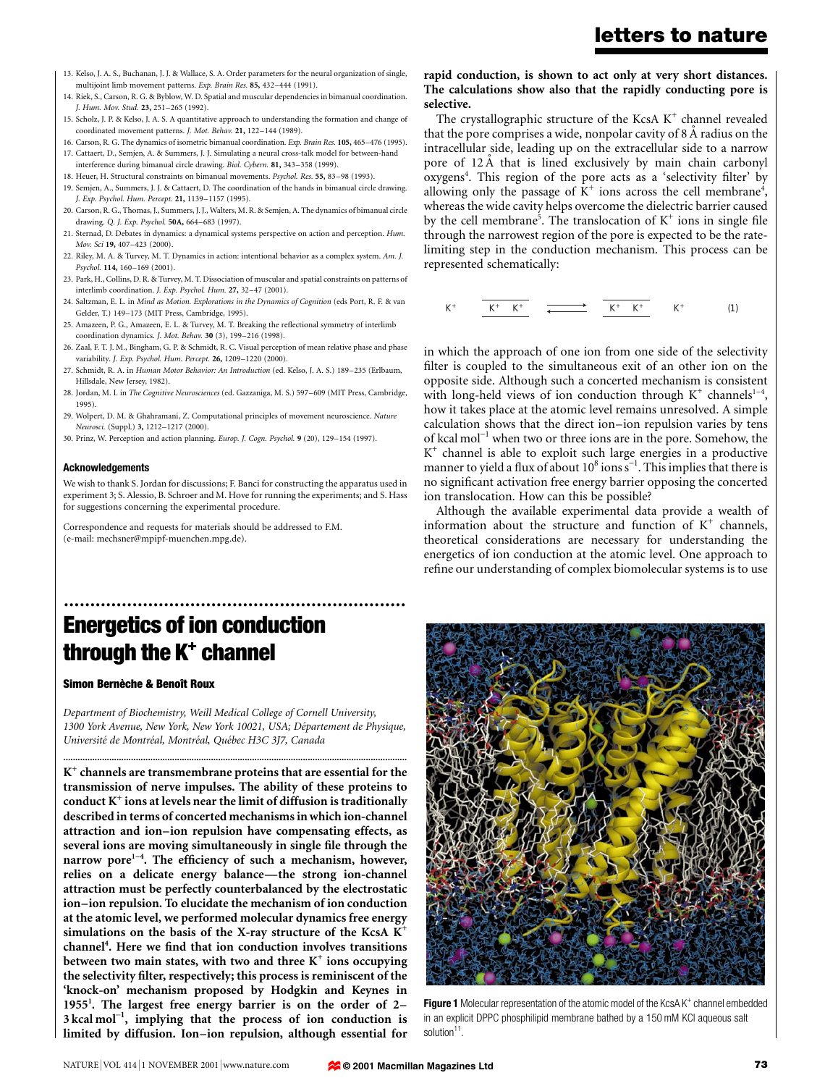- 13. Kelso, J. A. S., Buchanan, J. J. & Wallace, S. A. Order parameters for the neural organization of single, multijoint limb movement patterns. Exp. Brain Res. 85, 432-444 (1991).
- 14. Riek, S., Carson, R. G. & Byblow, W. D. Spatial and muscular dependencies in bimanual coordination. J. Hum. Mov. Stud. 23, 251-265 (1992).
- 15. Scholz, J. P. & Kelso, J. A. S. A quantitative approach to understanding the formation and change of coordinated movement patterns. J. Mot. Behav. 21, 122-144 (1989).
- 16. Carson, R. G. The dynamics of isometric bimanual coordination. Exp. Brain Res. 105, 465-476 (1995).
- 17. Cattaert, D., Semjen, A. & Summers, J. J. Simulating a neural cross-talk model for between-hand interference during bimanual circle drawing. Biol. Cybern. 81, 343-358 (1999).
- 18. Heuer, H. Structural constraints on bimanual movements. Psychol. Res. 55, 83-98 (1993).
- 19. Semjen, A., Summers, J. J. & Cattaert, D. The coordination of the hands in bimanual circle drawing. J. Exp. Psychol. Hum. Percept. 21, 1139-1157 (1995).
- 20. Carson, R. G., Thomas, J., Summers, J. J., Walters, M. R. & Semjen, A. The dynamics of bimanual circle drawing. O. J. Exp. Psychol. 50A, 664-683 (1997).
- 21. Sternad, D. Debates in dynamics: a dynamical systems perspective on action and perception. Hum. Mov. Sci 19, 407-423 (2000).
- 22. Riley, M. A. & Turvey, M. T. Dynamics in action: intentional behavior as a complex system. Am. J. Psychol. 114, 160-169 (2001).
- 23. Park, H., Collins, D. R. & Turvey, M. T. Dissociation of muscular and spatial constraints on patterns of interlimb coordination. *J. Exp. Psychol. Hum.* 27, 32-47 (2001).
- 24. Saltzman, E. L. in Mind as Motion. Explorations in the Dynamics of Cognition (eds Port, R. F. & van Gelder, T.) 149-173 (MIT Press, Cambridge, 1995).
- 25. Amazeen, P. G., Amazeen, E. L. & Turvey, M. T. Breaking the reflectional symmetry of interlimb coordination dynamics. J. Mot. Behav. 30 (3), 199-216 (1998).
- 26. Zaal, F. T. J. M., Bingham, G. P. & Schmidt, R. C. Visual perception of mean relative phase and phase variability. J. Exp. Psychol. Hum. Percept. 26, 1209-1220 (2000).
- 27. Schmidt, R. A. in Human Motor Behavior: An Introduction (ed. Kelso, J. A. S.) 189-235 (Erlbaum, Hillsdale, New Jersey, 1982).
- 28. Jordan, M. I. in The Cognitive Neurosciences (ed. Gazzaniga, M. S.) 597-609 (MIT Press, Cambridge, 1995).
- 29. Wolpert, D. M. & Ghahramani, Z. Computational principles of movement neuroscience. Nature Neurosci. (Suppl.) 3, 1212-1217 (2000).
- 30. Prinz, W. Perception and action planning. Europ. J. Cogn. Psychol. 9 (20), 129-154 (1997).

#### Acknowledgements

We wish to thank S. Jordan for discussions; F. Banci for constructing the apparatus used in experiment 3; S. Alessio, B. Schroer and M. Hove for running the experiments; and S. Hass for suggestions concerning the experimental procedure.

Correspondence and requests for materials should be addressed to F.M. (e-mail: mechsner@mpipf-muenchen.mpg.de).

## ................................................................. Energetics of ion conduction through the K<sup>+</sup> channel

#### Simon Bernèche & Benoît Roux

Department of Biochemistry, Weill Medical College of Cornell University, 1300 York Avenue, New York, New York 10021, USA; Département de Physique, Université de Montréal, Montréal, Québec H3C 3J7, Canada

..............................................................................................................................................

 $K^+$  channels are transmembrane proteins that are essential for the transmission of nerve impulses. The ability of these proteins to conduct  $K^+$  ions at levels near the limit of diffusion is traditionally described in terms of concerted mechanisms in which ion-channel attraction and ion-ion repulsion have compensating effects, as several ions are moving simultaneously in single file through the narrow pore<sup>1-4</sup>. The efficiency of such a mechanism, however, relies on a delicate energy balance—the strong ion-channel attraction must be perfectly counterbalanced by the electrostatic ion-ion repulsion. To elucidate the mechanism of ion conduction at the atomic level, we performed molecular dynamics free energy simulations on the basis of the X-ray structure of the KcsA  $K^+$ channel<sup>4</sup>. Here we find that ion conduction involves transitions between two main states, with two and three  $K^+$  ions occupying the selectivity filter, respectively; this process is reminiscent of the 'knock-on' mechanism proposed by Hodgkin and Keynes in 1955<sup>1</sup>. The largest free energy barrier is on the order of  $2 3 \text{ kcal mol}^{-1}$ , implying that the process of ion conduction is limited by diffusion. Ion-ion repulsion, although essential for

#### rapid conduction, is shown to act only at very short distances. The calculations show also that the rapidly conducting pore is selective.

The crystallographic structure of the KcsA  $K^+$  channel revealed that the pore comprises a wide, nonpolar cavity of  $8 \text{ Å}$  radius on the intracellular side, leading up on the extracellular side to a narrow pore of 12 Å that is lined exclusively by main chain carbonyl oxygens<sup>4</sup>. This region of the pore acts as a 'selectivity filter' by allowing only the passage of  $K^+$  ions across the cell membrane<sup>4</sup>, whereas the wide cavity helps overcome the dielectric barrier caused by the cell membrane<sup>5</sup>. The translocation of  $K^+$  ions in single file through the narrowest region of the pore is expected to be the ratelimiting step in the conduction mechanism. This process can be represented schematically:



in which the approach of one ion from one side of the selectivity filter is coupled to the simultaneous exit of an other ion on the opposite side. Although such a concerted mechanism is consistent with long-held views of ion conduction through  $K^+$  channels<sup>1-4</sup>, how it takes place at the atomic level remains unresolved. A simple calculation shows that the direct ion-ion repulsion varies by tens of kcal mol<sup>-1</sup> when two or three ions are in the pore. Somehow, the  $K^+$  channel is able to exploit such large energies in a productive manner to yield a flux of about  $10^8$  ions s<sup>-1</sup>. This implies that there is no significant activation free energy barrier opposing the concerted ion translocation. How can this be possible?

Although the available experimental data provide a wealth of information about the structure and function of  $K^+$  channels, theoretical considerations are necessary for understanding the energetics of ion conduction at the atomic level. One approach to refine our understanding of complex biomolecular systems is to use



**Figure 1** Molecular representation of the atomic model of the KcsA  $K^+$  channel embedded in an explicit DPPC phosphilipid membrane bathed by a 150 mM KCl aqueous salt solution<sup>11</sup>.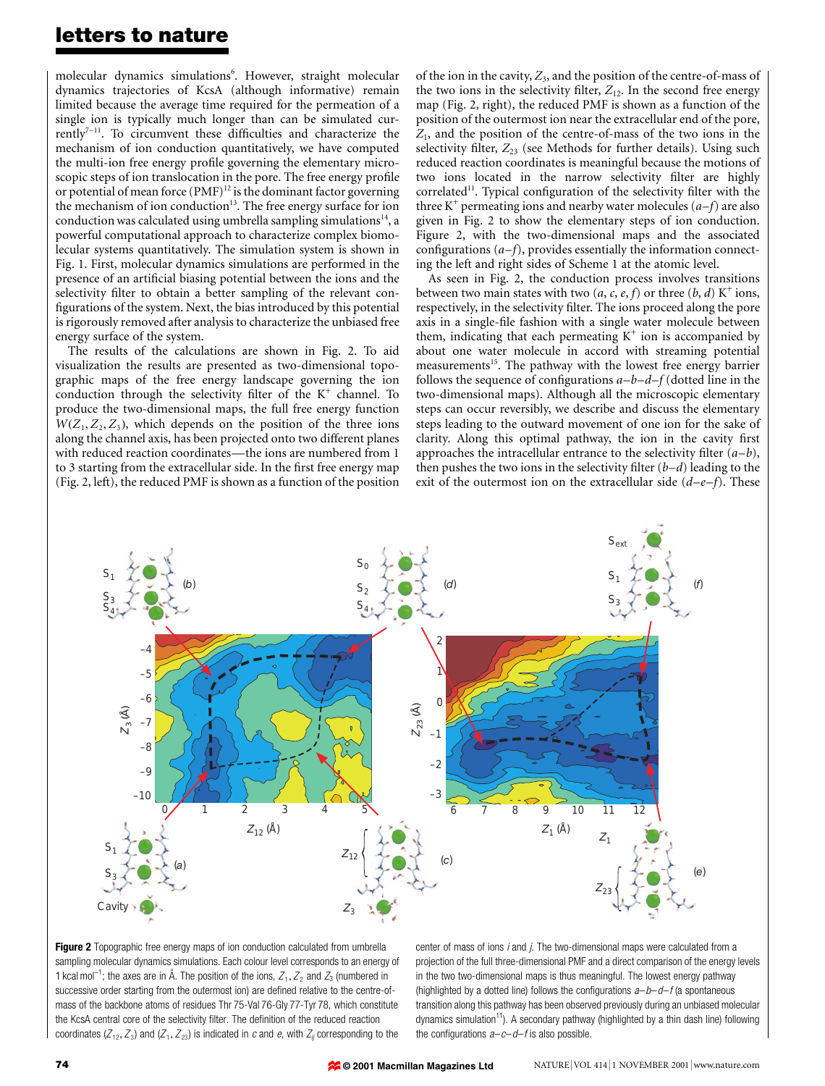### letters to nature

molecular dynamics simulations<sup>6</sup>. However, straight molecular dynamics trajectories of KcsA (although informative) remain limited because the average time required for the permeation of a single ion is typically much longer than can be simulated cur $r$ ently<sup>7-11</sup>. To circumvent these difficulties and characterize the mechanism of ion conduction quantitatively, we have computed the multi-ion free energy profile governing the elementary microscopic steps of ion translocation in the pore. The free energy profile or potential of mean force  $(PMF)^{12}$  is the dominant factor governing the mechanism of ion conduction<sup>13</sup>. The free energy surface for ion conduction was calculated using umbrella sampling simulations<sup>14</sup>, a powerful computational approach to characterize complex biomolecular systems quantitatively. The simulation system is shown in Fig. 1. First, molecular dynamics simulations are performed in the presence of an artificial biasing potential between the ions and the selectivity filter to obtain a better sampling of the relevant configurations of the system. Next, the bias introduced by this potential is rigorously removed after analysis to characterize the unbiased free energy surface of the system.

The results of the calculations are shown in Fig. 2. To aid visualization the results are presented as two-dimensional topographic maps of the free energy landscape governing the ion conduction through the selectivity filter of the  $K^+$  channel. To produce the two-dimensional maps, the full free energy function  $W(Z_1, Z_2, Z_3)$ , which depends on the position of the three ions along the channel axis, has been projected onto two different planes with reduced reaction coordinates—the ions are numbered from 1 to 3 starting from the extracellular side. In the first free energy map (Fig. 2, left), the reduced PMF is shown as a function of the position of the ion in the cavity,  $Z_3$ , and the position of the centre-of-mass of the two ions in the selectivity filter,  $Z_{12}$ . In the second free energy map (Fig. 2, right), the reduced PMF is shown as a function of the position of the outermost ion near the extracellular end of the pore,  $Z_1$ , and the position of the centre-of-mass of the two ions in the selectivity filter,  $Z_{23}$  (see Methods for further details). Using such reduced reaction coordinates is meaningful because the motions of two ions located in the narrow selectivity filter are highly correlated<sup>11</sup>. Typical configuration of the selectivity filter with the three K<sup>+</sup> permeating ions and nearby water molecules  $(a-f)$  are also given in Fig. 2 to show the elementary steps of ion conduction. Figure 2, with the two-dimensional maps and the associated configurations  $(a-f)$ , provides essentially the information connecting the left and right sides of Scheme 1 at the atomic level.

As seen in Fig. 2, the conduction process involves transitions between two main states with two  $(a, c, e, f)$  or three  $(b, d)$  K<sup>+</sup> ions, respectively, in the selectivity filter. The ions proceed along the pore axis in a single-file fashion with a single water molecule between them, indicating that each permeating  $K^+$  ion is accompanied by about one water molecule in accord with streaming potential measurements<sup>15</sup>. The pathway with the lowest free energy barrier follows the sequence of configurations  $a-b-d-f$  (dotted line in the two-dimensional maps). Although all the microscopic elementary steps can occur reversibly, we describe and discuss the elementary steps leading to the outward movement of one ion for the sake of clarity. Along this optimal pathway, the ion in the cavity first approaches the intracellular entrance to the selectivity filter  $(a-b)$ , then pushes the two ions in the selectivity filter  $(b-d)$  leading to the exit of the outermost ion on the extracellular side  $(d-e-f)$ . These



Figure 2 Topographic free energy maps of ion conduction calculated from umbrella sampling molecular dynamics simulations. Each colour level corresponds to an energy of 1 kcal mol<sup>-1</sup>; the axes are in Å. The position of the ions,  $Z_1$ ,  $Z_2$  and  $Z_3$  (numbered in successive order starting from the outermost ion) are defined relative to the centre-ofmass of the backbone atoms of residues Thr 75-Val 76-Gly 77-Tyr 78, which constitute the KcsA central core of the selectivity filter. The definition of the reduced reaction coordinates ( $Z_{12}, Z_3$ ) and ( $Z_1, Z_{23}$ ) is indicated in c and e, with  $Z_{ij}$  corresponding to the

center of mass of ions i and j. The two-dimensional maps were calculated from a projection of the full three-dimensional PMF and a direct comparison of the energy levels in the two two-dimensional maps is thus meaningful. The lowest energy pathway (highlighted by a dotted line) follows the configurations  $a-b-d-f$  (a spontaneous transition along this pathway has been observed previously during an unbiased molecular dynamics simulation<sup>11</sup>). A secondary pathway (highlighted by a thin dash line) following the configurations  $a-c-d-f$  is also possible.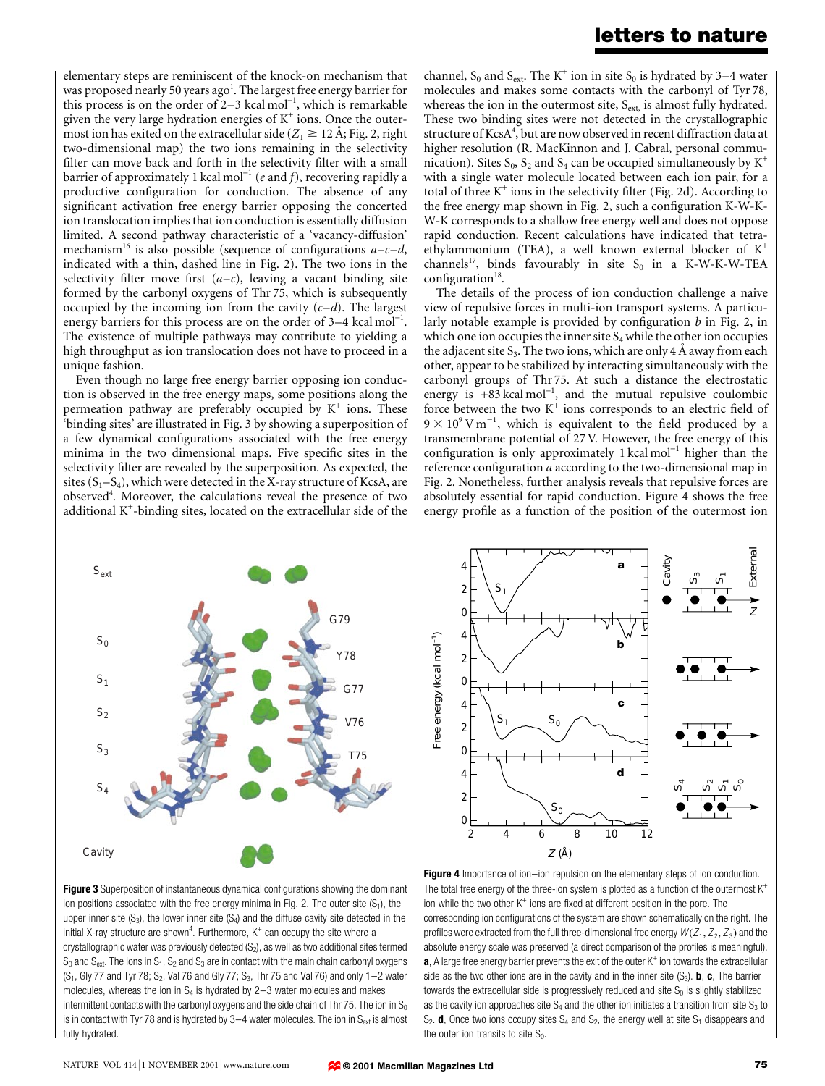## letters to nature

elementary steps are reminiscent of the knock-on mechanism that was proposed nearly 50 years ago<sup>1</sup>. The largest free energy barrier for this process is on the order of  $2-3$  kcal mol<sup>-1</sup>, which is remarkable given the very large hydration energies of  $K^+$  ions. Once the outermost ion has exited on the extracellular side ( $Z_1 \geq 12$  Å; Fig. 2, right two-dimensional map) the two ions remaining in the selectivity filter can move back and forth in the selectivity filter with a small barrier of approximately 1 kcal mol<sup>-1</sup> (e and f), recovering rapidly a productive configuration for conduction. The absence of any significant activation free energy barrier opposing the concerted ion translocation implies that ion conduction is essentially diffusion limited. A second pathway characteristic of a `vacancy-diffusion' mechanism<sup>16</sup> is also possible (sequence of configurations  $a-c-d$ , indicated with a thin, dashed line in Fig. 2). The two ions in the selectivity filter move first  $(a-c)$ , leaving a vacant binding site formed by the carbonyl oxygens of Thr 75, which is subsequently occupied by the incoming ion from the cavity  $(c-d)$ . The largest energy barriers for this process are on the order of  $3-4$  kcal mol<sup>-1</sup>. The existence of multiple pathways may contribute to yielding a high throughput as ion translocation does not have to proceed in a unique fashion.

Even though no large free energy barrier opposing ion conduction is observed in the free energy maps, some positions along the permeation pathway are preferably occupied by  $K^+$  ions. These `binding sites' are illustrated in Fig. 3 by showing a superposition of a few dynamical configurations associated with the free energy minima in the two dimensional maps. Five specific sites in the selectivity filter are revealed by the superposition. As expected, the sites  $(S_1-S_4)$ , which were detected in the X-ray structure of KcsA, are observed<sup>4</sup>. Moreover, the calculations reveal the presence of two additional K+ -binding sites, located on the extracellular side of the

channel,  $S_0$  and  $S_{ext}$ . The K<sup>+</sup> ion in site  $S_0$  is hydrated by 3–4 water molecules and makes some contacts with the carbonyl of Tyr 78, whereas the ion in the outermost site,  $S_{ext}$ , is almost fully hydrated. These two binding sites were not detected in the crystallographic structure of  $\rm KcsA^{4}$ , but are now observed in recent diffraction data at higher resolution (R. MacKinnon and J. Cabral, personal communication). Sites  $S_0$ ,  $S_2$  and  $S_4$  can be occupied simultaneously by  $K^+$ with a single water molecule located between each ion pair, for a total of three  $K^+$  ions in the selectivity filter (Fig. 2d). According to the free energy map shown in Fig. 2, such a configuration K-W-K-W-K corresponds to a shallow free energy well and does not oppose rapid conduction. Recent calculations have indicated that tetraethylammonium (TEA), a well known external blocker of  $K^+$ channels<sup>17</sup>, binds favourably in site  $S_0$  in a K-W-K-W-TEA configuration $18$ .

The details of the process of ion conduction challenge a naive view of repulsive forces in multi-ion transport systems. A particularly notable example is provided by configuration  $b$  in Fig. 2, in which one ion occupies the inner site  $S_4$  while the other ion occupies the adjacent site  $S_3$ . The two ions, which are only 4  $\AA$  away from each other, appear to be stabilized by interacting simultaneously with the carbonyl groups of Thr 75. At such a distance the electrostatic energy is  $+83$  kcal mol<sup>-1</sup>, and the mutual repulsive coulombic force between the two  $K^+$  ions corresponds to an electric field of  $9 \times 10^{9}$  V m<sup>-1</sup>, which is equivalent to the field produced by a transmembrane potential of 27 V. However, the free energy of this configuration is only approximately  $1 \text{ kcal mol}^{-1}$  higher than the reference configuration a according to the two-dimensional map in Fig. 2. Nonetheless, further analysis reveals that repulsive forces are absolutely essential for rapid conduction. Figure 4 shows the free energy profile as a function of the position of the outermost ion





Figure 3 Superposition of instantaneous dynamical configurations showing the dominant ion positions associated with the free energy minima in Fig. 2. The outer site  $(S_1)$ , the upper inner site  $(S_3)$ , the lower inner site  $(S_4)$  and the diffuse cavity site detected in the initial X-ray structure are shown<sup>4</sup>. Furthermore,  $K^+$  can occupy the site where a crystallographic water was previously detected  $(S_2)$ , as well as two additional sites termed  $S_0$  and  $S_{ext}$ . The ions in  $S_1$ ,  $S_2$  and  $S_3$  are in contact with the main chain carbonyl oxygens ( $S_1$ , Gly 77 and Tyr 78;  $S_2$ , Val 76 and Gly 77;  $S_3$ , Thr 75 and Val 76) and only 1-2 water molecules, whereas the ion in  $S_4$  is hydrated by 2-3 water molecules and makes intermittent contacts with the carbonyl oxygens and the side chain of Thr 75. The ion in  $S_0$ is in contact with Tyr 78 and is hydrated by 3 $-4$  water molecules. The ion in S<sub>ext</sub> is almost fully hydrated.

Figure 4 Importance of ion-ion repulsion on the elementary steps of ion conduction. The total free energy of the three-ion system is plotted as a function of the outermost K<sup>+</sup> ion while the two other  $K^+$  ions are fixed at different position in the pore. The corresponding ion configurations of the system are shown schematically on the right. The profiles were extracted from the full three-dimensional free energy  $W(Z_1, Z_2, Z_3)$  and the absolute energy scale was preserved (a direct comparison of the profiles is meaningful).  $a$ , A large free energy barrier prevents the exit of the outer  $K^+$  ion towards the extracellular side as the two other ions are in the cavity and in the inner site  $(S_3)$ . **b**, **c**, The barrier towards the extracellular side is progressively reduced and site  $S_0$  is slightly stabilized as the cavity ion approaches site  $S_4$  and the other ion initiates a transition from site  $S_3$  to  $S_2$ . **d**, Once two ions occupy sites  $S_4$  and  $S_2$ , the energy well at site  $S_1$  disappears and the outer ion transits to site  $S_0$ .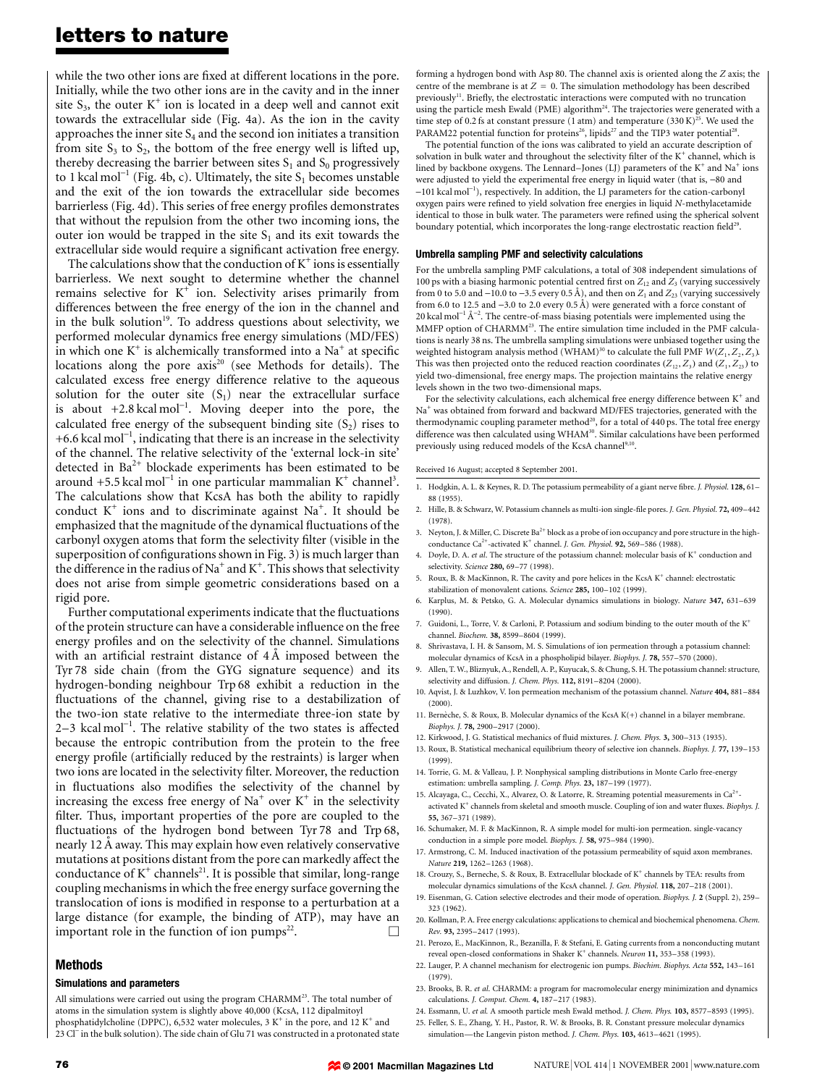### letters to nature

while the two other ions are fixed at different locations in the pore. Initially, while the two other ions are in the cavity and in the inner site  $S_3$ , the outer  $K^+$  ion is located in a deep well and cannot exit towards the extracellular side (Fig. 4a). As the ion in the cavity approaches the inner site  $S_4$  and the second ion initiates a transition from site  $S_3$  to  $S_2$ , the bottom of the free energy well is lifted up, thereby decreasing the barrier between sites  $S_1$  and  $S_0$  progressively to 1 kcal mol<sup>-1</sup> (Fig. 4b, c). Ultimately, the site  $S_1$  becomes unstable and the exit of the ion towards the extracellular side becomes barrierless (Fig. 4d). This series of free energy profiles demonstrates that without the repulsion from the other two incoming ions, the outer ion would be trapped in the site  $S_1$  and its exit towards the extracellular side would require a significant activation free energy.

The calculations show that the conduction of  $K^+$  ions is essentially barrierless. We next sought to determine whether the channel remains selective for  $K^+$  ion. Selectivity arises primarily from differences between the free energy of the ion in the channel and in the bulk solution<sup>19</sup>. To address questions about selectivity, we performed molecular dynamics free energy simulations (MD/FES) in which one  $K^+$  is alchemically transformed into a Na<sup>+</sup> at specific locations along the pore  $axis^{20}$  (see Methods for details). The calculated excess free energy difference relative to the aqueous solution for the outer site  $(S_1)$  near the extracellular surface is about  $+2.8$  kcal mol<sup>-1</sup>. Moving deeper into the pore, the calculated free energy of the subsequent binding site  $(S_2)$  rises to +6.6 kcal mol<sup>-1</sup>, indicating that there is an increase in the selectivity of the channel. The relative selectivity of the `external lock-in site' detected in  $Ba^{2+}$  blockade experiments has been estimated to be around +5.5 kcal mol<sup>-1</sup> in one particular mammalian  $K^+$  channel<sup>3</sup>. The calculations show that KcsA has both the ability to rapidly conduct  $K^+$  ions and to discriminate against Na<sup>+</sup>. It should be emphasized that the magnitude of the dynamical fluctuations of the carbonyl oxygen atoms that form the selectivity filter (visible in the superposition of configurations shown in Fig. 3) is much larger than the difference in the radius of Na<sup>+</sup> and K<sup>+</sup>. This shows that selectivity does not arise from simple geometric considerations based on a rigid pore.

Further computational experiments indicate that the fluctuations of the protein structure can have a considerable influence on the free energy profiles and on the selectivity of the channel. Simulations with an artificial restraint distance of  $4\text{ Å}$  imposed between the Tyr 78 side chain (from the GYG signature sequence) and its hydrogen-bonding neighbour Trp 68 exhibit a reduction in the fluctuations of the channel, giving rise to a destabilization of the two-ion state relative to the intermediate three-ion state by 2-3 kcal mol<sup>-1</sup>. The relative stability of the two states is affected because the entropic contribution from the protein to the free energy profile (artificially reduced by the restraints) is larger when two ions are located in the selectivity filter. Moreover, the reduction in fluctuations also modifies the selectivity of the channel by increasing the excess free energy of  $Na<sup>+</sup>$  over  $K<sup>+</sup>$  in the selectivity filter. Thus, important properties of the pore are coupled to the fluctuations of the hydrogen bond between Tyr 78 and Trp 68, nearly 12 A away. This may explain how even relatively conservative mutations at positions distant from the pore can markedly affect the conductance of  $K^+$  channels<sup>21</sup>. It is possible that similar, long-range coupling mechanisms in which the free energy surface governing the translocation of ions is modified in response to a perturbation at a large distance (for example, the binding of ATP), may have an important role in the function of ion pumps $^{22}$ .

#### Methods

#### Simulations and parameters

All simulations were carried out using the program CHARMM<sup>23</sup>. The total number of atoms in the simulation system is slightly above 40,000 (KcsA, 112 dipalmitoyl phosphatidylcholine (DPPC), 6,532 water molecules, 3  $\rm K^+$  in the pore, and 12  $\rm K^+$  and 23 Cl<sup>-</sup> in the bulk solution). The side chain of Glu 71 was constructed in a protonated state forming a hydrogen bond with Asp 80. The channel axis is oriented along the Z axis; the centre of the membrane is at  $Z = 0$ . The simulation methodology has been described previously<sup>11</sup>. Briefly, the electrostatic interactions were computed with no truncation using the particle mesh Ewald (PME) algorithm<sup>24</sup>. The trajectories were generated with a time step of 0.2 fs at constant pressure (1 atm) and temperature (330 K)<sup>25</sup>. We used the PARAM22 potential function for proteins<sup>26</sup>, lipids<sup>27</sup> and the TIP3 water potential<sup>28</sup>.

The potential function of the ions was calibrated to yield an accurate description of solvation in bulk water and throughout the selectivity filter of the  $K^+$  channel, which is lined by backbone oxygens. The Lennard–Jones (LJ) parameters of the  $K^+$  and  $Na^+$  ions were adjusted to yield the experimental free energy in liquid water (that is, -80 and -101 kcal mol<sup>-1</sup>), respectively. In addition, the LJ parameters for the cation-carbonyl oxygen pairs were refined to yield solvation free energies in liquid N-methylacetamide identical to those in bulk water. The parameters were refined using the spherical solvent boundary potential, which incorporates the long-range electrostatic reaction field<sup>29</sup>.

#### Umbrella sampling PMF and selectivity calculations

For the umbrella sampling PMF calculations, a total of 308 independent simulations of 100 ps with a biasing harmonic potential centred first on  $Z_{12}$  and  $Z_3$  (varying successively from 0 to 5.0 and -10.0 to -3.5 every 0.5 Å), and then on  $Z_1$  and  $Z_{23}$  (varying successively from 6.0 to 12.5 and  $-3.0$  to 2.0 every 0.5 Å) were generated with a force constant of 20 kcal mol<sup>-1</sup>  $Å^{-2}$ . The centre-of-mass biasing potentials were implemented using the MMFP option of CHARMM<sup>23</sup>. The entire simulation time included in the PMF calculations is nearly 38 ns. The umbrella sampling simulations were unbiased together using the weighted histogram analysis method (WHAM)<sup>30</sup> to calculate the full PMF  $W(Z_1, Z_2, Z_3)$ . This was then projected onto the reduced reaction coordinates  $(Z_{12}, Z_3)$  and  $(Z_1, Z_{23})$  to yield two-dimensional, free energy maps. The projection maintains the relative energy levels shown in the two two-dimensional maps.

For the selectivity calculations, each alchemical free energy difference between  $\mathrm{K}^+$  and Na<sup>+</sup> was obtained from forward and backward MD/FES trajectories, generated with the thermodynamic coupling parameter method<sup>20</sup>, for a total of 440 ps. The total free energy difference was then calculated using WHAM<sup>30</sup>. Similar calculations have been performed previously using reduced models of the KcsA channel $9,10$ .

Received 16 August; accepted 8 September 2001.

- Hodgkin, A. L. & Keynes, R. D. The potassium permeability of a giant nerve fibre. J. Physiol. 128, 61-88 (1955).
- 2. Hille, B. & Schwarz, W. Potassium channels as multi-ion single-file pores. J. Gen. Physiol. 72, 409-442 (1978).
- 3. Neyton, J. & Miller, C. Discrete Ba<sup>2+</sup> block as a probe of ion occupancy and pore structure in the highconductance Ca<sup>2+</sup>-activated K<sup>+</sup> channel. *J. Gen. Physiol.* **92,** 569-586 (1988).
- 4. Doyle, D. A. et al. The structure of the potassium channel: molecular basis of  $K^+$  conduction and selectivity. Science 280, 69-77 (1998).
- 5. Roux, B. & MacKinnon, R. The cavity and pore helices in the KcsA  $K^+$  channel: electrostatic stabilization of monovalent cations. Science 285, 100-102 (1999).
- 6. Karplus, M. & Petsko, G. A. Molecular dynamics simulations in biology. Nature 347, 631-639  $(1990)$ .
- 7. Guidoni, L., Torre, V. & Carloni, P. Potassium and sodium binding to the outer mouth of the K+ channel. Biochem. 38, 8599-8604 (1999).
- 8. Shrivastava, I. H. & Sansom, M. S. Simulations of ion permeation through a potassium channel: molecular dynamics of KcsA in a phospholipid bilayer. Biophys. J. 78, 557-570 (2000).
- 9. Allen, T. W., Bliznyuk, A., Rendell, A. P., Kuyucak, S. & Chung, S. H. The potassium channel: structure, selectivity and diffusion. J. Chem. Phys. 112, 8191-8204 (2000).
- 10. Aqvist, J. & Luzhkov, V. Ion permeation mechanism of the potassium channel. Nature 404, 881-884 (2000).
- 11. Bernèche, S. & Roux, B. Molecular dynamics of the KcsA  $K(+)$  channel in a bilayer membrane. Biophys. J. 78, 2900-2917 (2000).
- 12. Kirkwood, J. G. Statistical mechanics of fluid mixtures. J. Chem. Phys. 3, 300-313 (1935).
- 13. Roux, B. Statistical mechanical equilibrium theory of selective ion channels. Biophys. J. 77, 139-153 (1999).
- 14. Torrie, G. M. & Valleau, J. P. Nonphysical sampling distributions in Monte Carlo free-energy estimation: umbrella sampling. J. Comp. Phys. 23, 187-199 (1977).
- 15. Alcayaga, C., Cecchi, X., Alvarez, O. & Latorre, R. Streaming potential measurements in Ca<sup>2+</sup>activated  $K^+$  channels from skeletal and smooth muscle. Coupling of ion and water fluxes. Biophys. J. 55, 367±371 (1989).
- 16. Schumaker, M. F. & MacKinnon, R. A simple model for multi-ion permeation. single-vacancy conduction in a simple pore model. Biophys. J. 58, 975-984 (1990).
- 17. Armstrong, C. M. Induced inactivation of the potassium permeability of squid axon membranes. Nature 219, 1262-1263 (1968).
- 18. Crouzy, S., Berneche, S. & Roux, B. Extracellular blockade of K<sup>+</sup> channels by TEA: results from molecular dynamics simulations of the KcsA channel. J. Gen. Physiol. 118, 207-218 (2001).
- 19. Eisenman, G. Cation selective electrodes and their mode of operation. Biophys. J. 2 (Suppl. 2), 259-323 (1962).
- 20. Kollman, P. A. Free energy calculations: applications to chemical and biochemical phenomena. Chem. Rev. 93, 2395-2417 (1993).
- 21. Perozo, E., MacKinnon, R., Bezanilla, F. & Stefani, E. Gating currents from a nonconducting mutant reveal open-closed conformations in Shaker K<sup>+</sup> channels. Neuron 11, 353-358 (1993).
- 22. Lauger, P. A channel mechanism for electrogenic ion pumps. Biochim. Biophys. Acta 552, 143-161 (1979).
- 23. Brooks, B. R. et al. CHARMM: a program for macromolecular energy minimization and dynamics calculations. *J. Comput. Chem.* 4, 187-217 (1983).
- 24. Essmann, U. et al. A smooth particle mesh Ewald method. J. Chem. Phys. 103, 8577-8593 (1995).
- 25. Feller, S. E., Zhang, Y. H., Pastor, R. W. & Brooks, B. R. Constant pressure molecular dynamics simulation—the Langevin piston method. J. Chem. Phys. 103, 4613-4621 (1995).